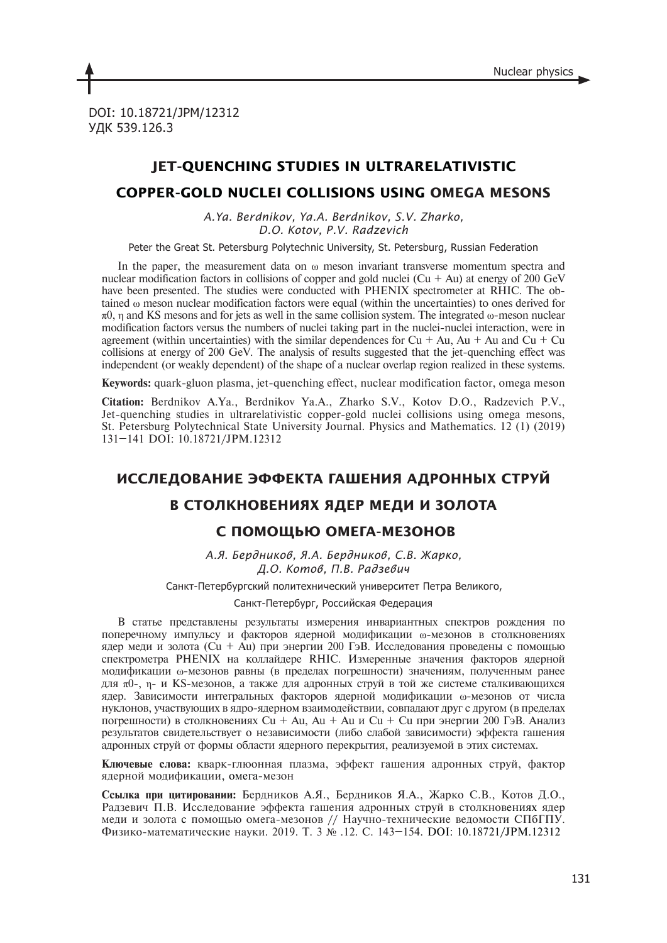DOI: 10.18721/JPM/12312 УДК 539.126.3

# **JET-QUENCHING STUDIES IN ULTRARELATIVISTIC**

## **COPPER-GOLD NUCLEI COLLISIONS USING OMEGA MESONS**

*A.Ya. Berdnikov, Ya.A. Berdnikov, S.V. Zharko, D.O. Kotov, P.V. Radzevich*

Peter the Great St. Petersburg Polytechnic University, St. Petersburg, Russian Federation

In the paper, the measurement data on  $\omega$  meson invariant transverse momentum spectra and nuclear modification factors in collisions of copper and gold nuclei  $(Cu + Au)$  at energy of 200 GeV have been presented. The studies were conducted with PHENIX spectrometer at RHIC. The obtained ω meson nuclear modification factors were equal (within the uncertainties) to ones derived for  $π0$ , η and KS mesons and for jets as well in the same collision system. The integrated ω-meson nuclear modification factors versus the numbers of nuclei taking part in the nuclei-nuclei interaction, were in agreement (within uncertainties) with the similar dependences for  $Cu + Au$ ,  $Au + Au$  and  $Cu + Cu$ collisions at energy of 200  $GeV$ . The analysis of results suggested that the jet-quenching effect was independent (or weakly dependent) of the shape of a nuclear overlap region realized in these systems.

**Keywords:** quark-gluon plasma, jet-quenching effect, nuclear modification factor, omega meson

**Citation:** Berdnikov A.Ya., Berdnikov Ya.A., Zharko S.V., Kotov D.O., Radzevich P.V., Jet-quenching studies in ultrarelativistic copper-gold nuclei collisions using omega mesons, St. Petersburg Polytechnical State University Journal. Physics and Mathematics. 12 (1) (2019) 131–141 DOI: 10.18721/JPM.12312

# **ИССЛЕДОВАНИЕ ЭФФЕКТА ГАШЕНИЯ АДРОННЫХ СТРУЙ**

### **В СТОЛКНОВЕНИЯХ ЯДЕР МЕДИ И ЗОЛОТА**

### **С ПОМОЩЬЮ ОМЕГА-МЕЗОНОВ**

*А.Я. Бердников, Я.А. Бердников, С.В. Жарко, Д.О. Котов, П.В. Радзевич*

Санкт-Петербургский политехнический университет Петра Великого,

Санкт-Петербург, Российская Федерация

В статье представлены результаты измерения инвариантных спектров рождения по поперечному импульсу и факторов ядерной модификации ω-мезонов в столкновениях ядер меди и золота (Cu + Au) при энергии 200 ГэВ. Исследования проведены с помощью спектрометра PHENIX на коллайдере RHIC. Измеренные значения факторов ядерной модификации ω-мезонов равны (в пределах погрешности) значениям, полученным ранее для π0-, η- и KS-мезонов, а также для адронных струй в той же системе сталкивающихся ядер. Зависимости интегральных факторов ядерной модификации ω-мезонов от числа нуклонов, участвующих в ядро-ядерном взаимодействии, совпадают друг с другом (в пределах погрешности) в столкновениях Cu + Au, Au + Au и Cu + Cu при энергии 200 ГэВ. Анализ результатов свидетельствует о независимости (либо слабой зависимости) эффекта гашения адронных струй от формы области ядерного перекрытия, реализуемой в этих системах.

**Ключевые слова:** кварк-глюонная плазма, эффект гашения адронных струй, фактор ядерной модификации, омега-мезон

**Ссылка при цитировании:** Бердников А.Я., Бердников Я.А., Жарко С.В., Котов Д.О., Радзевич П.В. Исследование эффекта гашения адронных струй в столкновениях ядер меди и золота с помощью омега-мезонов // Научно-технические ведомости СПбГПУ. Физико-математические науки. 2019. Т. 3 № .12. С. 143–154. DOI: 10.18721/JPM.12312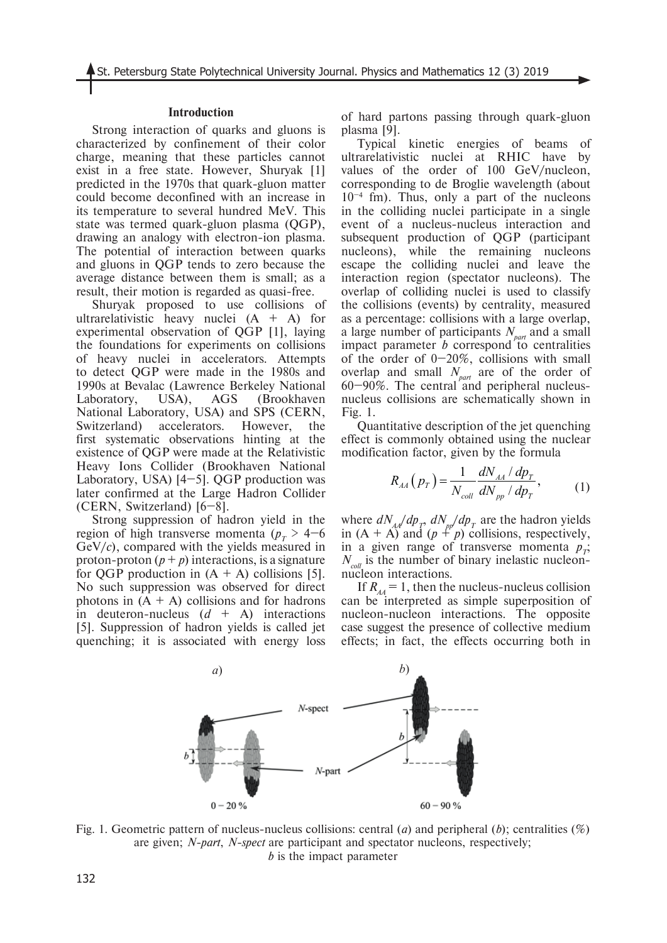#### **Introduction**

Strong interaction of quarks and gluons is characterized by confinement of their color charge, meaning that these particles cannot exist in a free state. However, Shuryak [1] predicted in the 1970s that quark-gluon matter could become deconfined with an increase in its temperature to several hundred MeV. This state was termed quark-gluon plasma (QGP), drawing an analogy with electron-ion plasma. The potential of interaction between quarks and gluons in QGP tends to zero because the average distance between them is small; as a result, their motion is regarded as quasi-free.

Shuryak proposed to use collisions of ultrarelativistic heavy nuclei  $(A + A)$  for experimental observation of QGP [1], laying the foundations for experiments on collisions of heavy nuclei in accelerators. Attempts to detect QGP were made in the 1980s and 1990s at Bevalac (Lawrence Berkeley National Laboratory, USA), AGS (Brookhaven National Laboratory, USA) and SPS (CERN, Switzerland) accelerators. However, the first systematic observations hinting at the existence of QGP were made at the Relativistic Heavy Ions Collider (Brookhaven National Laboratory, USA)  $[4-5]$ . QGP production was later confirmed at the Large Hadron Collider (CERN, Switzerland) [6–8].

Strong suppression of hadron yield in the region of high transverse momenta ( $p_T > 4-6$ GeV/*c*), compared with the yields measured in proton-proton  $(p + p)$  interactions, is a signature for QGP production in  $(A + A)$  collisions [5]. No such suppression was observed for direct photons in  $(A + A)$  collisions and for hadrons in deuteron-nucleus  $(d + A)$  interactions [5]. Suppression of hadron yields is called jet quenching; it is associated with energy loss of hard partons passing through quark-gluon plasma [9].

Typical kinetic energies of beams of ultrarelativistic nuclei at RHIC have by values of the order of 100 GeV/nucleon, corresponding to de Broglie wavelength (about  $10^{-4}$  fm). Thus, only a part of the nucleons in the colliding nuclei participate in a single event of a nucleus-nucleus interaction and subsequent production of QGP (participant nucleons), while the remaining nucleons escape the colliding nuclei and leave the interaction region (spectator nucleons). The overlap of colliding nuclei is used to classify the collisions (events) by centrality, measured as a percentage: collisions with a large overlap, a large number of participants  $N_{part}$  and a small impact parameter  $b$  correspond to centralities of the order of  $0-20\%$ , collisions with small overlap and small  $N_{part}$  are of the order of  $60-90\%$ . The central and peripheral nucleusnucleus collisions are schematically shown in Fig. 1.

Quantitative description of the jet quenching effect is commonly obtained using the nuclear modification factor, given by the formula

$$
R_{AA}(p_T) = \frac{1}{N_{coll}} \frac{dN_{AA}/dp_T}{dN_{pp}/dp_T},
$$
 (1)

where  $dN_{AA}/dp_T$ ,  $dN_{pp}/dp_T$  are the hadron yields in  $(A + A)$  and  $(p + p)$  collisions, respectively, in a given range of transverse momenta  $p_{\tau}$ ;  $N_{\text{coll}}$  is the number of binary inelastic nucleonnucleon interactions.

If  $R_{A4} = 1$ , then the nucleus-nucleus collision can be interpreted as simple superposition of nucleon-nucleon interactions. The opposite case suggest the presence of collective medium effects; in fact, the effects occurring both in



Fig. 1. Geometric pattern of nucleus-nucleus collisions: central (*a*) and peripheral (*b*); centralities (%) are given; *N-part*, *N-spect* are participant and spectator nucleons, respectively; *b* is the impact parameter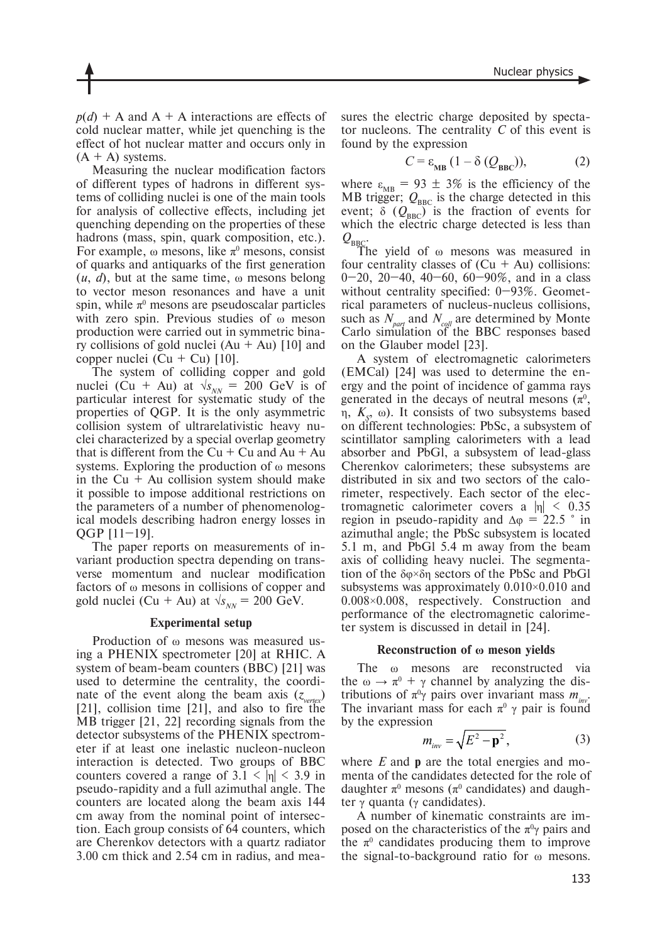$p(d)$  + A and A + A interactions are effects of cold nuclear matter, while jet quenching is the effect of hot nuclear matter and occurs only in  $(A + A)$  systems.

Measuring the nuclear modification factors of different types of hadrons in different systems of colliding nuclei is one of the main tools for analysis of collective effects, including jet quenching depending on the properties of these hadrons (mass, spin, quark composition, etc.). For example,  $\omega$  mesons, like  $\pi^0$  mesons, consist of quarks and antiquarks of the first generation  $(u, d)$ , but at the same time,  $\omega$  mesons belong to vector meson resonances and have a unit spin, while  $\pi^0$  mesons are pseudoscalar particles with zero spin. Previous studies of ω meson production were carried out in symmetric binary collisions of gold nuclei  $(Au + Au)$  [10] and copper nuclei (Cu + Cu)  $[10]$ .

The system of colliding copper and gold nuclei (Cu + Au) at  $\sqrt{s_{NN}} = 200$  GeV is of particular interest for systematic study of the properties of QGP. It is the only asymmetric collision system of ultrarelativistic heavy nuclei characterized by a special overlap geometry that is different from the  $Cu + Cu$  and  $Au + Au$ systems. Exploring the production of ω mesons in the  $Cu + Au$  collision system should make it possible to impose additional restrictions on the parameters of a number of phenomenological models describing hadron energy losses in QGP [11–19].

The paper reports on measurements of invariant production spectra depending on transverse momentum and nuclear modification factors of ω mesons in collisions of copper and gold nuclei (Cu + Au) at  $\sqrt{s_{NN}}$  = 200 GeV.

#### **Experimental setup**

Production of ω mesons was measured using a PHENIX spectrometer [20] at RHIC. A system of beam-beam counters (BBC) [21] was used to determine the centrality, the coordinate of the event along the beam axis  $(z_{vertex})$ [21], collision time [21], and also to fire the MB trigger [21, 22] recording signals from the detector subsystems of the PHENIX spectrometer if at least one inelastic nucleon-nucleon interaction is detected. Two groups of BBC counters covered a range of  $3.1 < |\eta| < 3.9$  in pseudo-rapidity and a full azimuthal angle. The counters are located along the beam axis 144 cm away from the nominal point of intersection. Each group consists of 64 counters, which are Cherenkov detectors with a quartz radiator 3.00 cm thick and 2.54 cm in radius, and measures the electric charge deposited by spectator nucleons. The centrality *C* of this event is found by the expression

$$
C = \varepsilon_{\text{MB}} \left( 1 - \delta \left( \mathcal{Q}_{\text{BBC}} \right) \right), \tag{2}
$$

where  $\varepsilon_{MB}$  = 93  $\pm$  3% is the efficiency of the MB trigger;  $Q_{\text{BBC}}$  is the charge detected in this event;  $\delta$  ( $Q_{\text{BBC}}$ ) is the fraction of events for which the electric charge detected is less than  $Q_{BBC}$ .

The yield of ω mesons was measured in four centrality classes of  $(Cu + Au)$  collisions:  $0-20$ ,  $20-40$ ,  $40-60$ ,  $60-90\%$ , and in a class without centrality specified: 0–93%. Geometrical parameters of nucleus-nucleus collisions, such as  $N_{part}$  and  $N_{coll}$  are determined by Monte Carlo simulation of the BBC responses based on the Glauber model [23].

A system of electromagnetic calorimeters (EMCal) [24] was used to determine the energy and the point of incidence of gamma rays generated in the decays of neutral mesons  $(\pi^0, \pi^0)$ η,  $K<sub>g</sub>$ , ω). It consists of two subsystems based on different technologies: PbSc, a subsystem of scintillator sampling calorimeters with a lead absorber and PbGl, a subsystem of lead-glass Cherenkov calorimeters; these subsystems are distributed in six and two sectors of the calorimeter, respectively. Each sector of the electromagnetic calorimeter covers a  $|n| \leq 0.35$ region in pseudo-rapidity and  $\Delta \varphi = 22.5$  ° in azimuthal angle; the PbSc subsystem is located 5.1 m, and PbGl 5.4 m away from the beam axis of colliding heavy nuclei. The segmentation of the δφ×δη sectors of the PbSc and PbGl subsystems was approximately 0.010×0.010 and 0.008×0.008, respectively. Construction and performance of the electromagnetic calorimeter system is discussed in detail in [24].

#### **Reconstruction of ω meson yields**

The ω mesons are reconstructed via the  $\omega \to \pi^0 + \gamma$  channel by analyzing the distributions of  $\pi^0 \gamma$  pairs over invariant mass  $m_{inv}$ . The invariant mass for each  $\pi^0 \gamma$  pair is found by the expression

$$
m_{\text{inv}} = \sqrt{E^2 - \mathbf{p}^2},\tag{3}
$$

where *E* and **p** are the total energies and momenta of the candidates detected for the role of daughter  $\pi^0$  mesons ( $\pi^0$  candidates) and daughter  $\gamma$  quanta ( $\gamma$  candidates).

A number of kinematic constraints are imposed on the characteristics of the  $\pi^0\gamma$  pairs and the  $\pi^0$  candidates producing them to improve the signal-to-background ratio for ω mesons.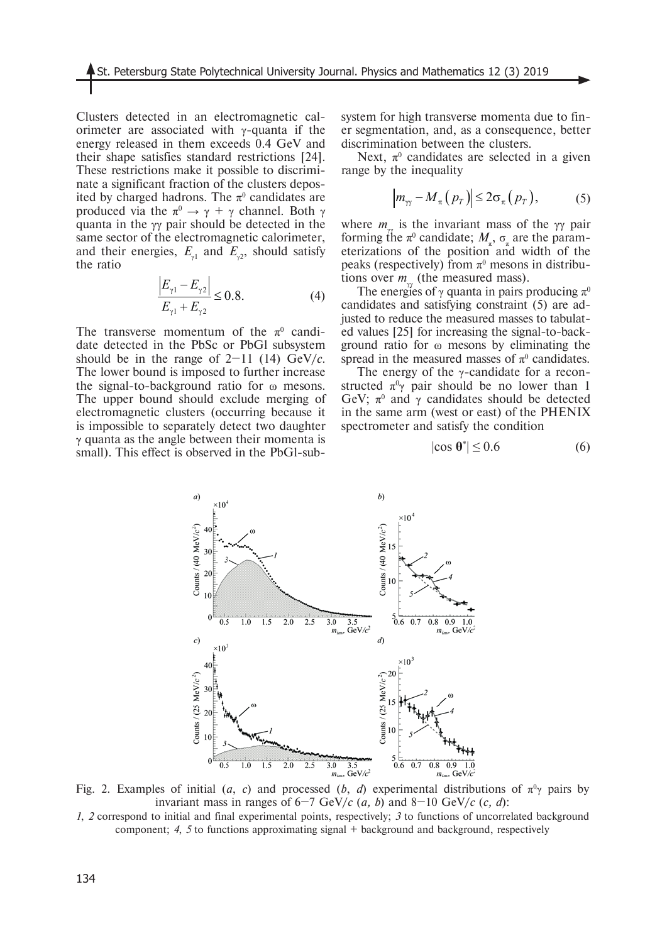Clusters detected in an electromagnetic calorimeter are associated with  $\gamma$ -quanta if the energy released in them exceeds 0.4 GeV and their shape satisfies standard restrictions [24]. These restrictions make it possible to discriminate a significant fraction of the clusters deposited by charged hadrons. The  $\pi^0$  candidates are produced via the  $\pi^0 \rightarrow \gamma + \gamma$  channel. Both γ quanta in the γγ pair should be detected in the same sector of the electromagnetic calorimeter, and their energies,  $E_{\gamma 1}$  and  $E_{\gamma 2}$ , should satisfy the ratio

$$
\frac{\left|E_{\gamma 1} - E_{\gamma 2}\right|}{E_{\gamma 1} + E_{\gamma 2}} \le 0.8.
$$
\n(4)

The transverse momentum of the  $\pi^0$  candidate detected in the PbSc or PbGl subsystem should be in the range of  $2-11$  (14) GeV/*c*. The lower bound is imposed to further increase the signal-to-background ratio for ω mesons. The upper bound should exclude merging of electromagnetic clusters (occurring because it is impossible to separately detect two daughter γ quanta as the angle between their momenta is small). This effect is observed in the PbGl-subsystem for high transverse momenta due to finer segmentation, and, as a consequence, better discrimination between the clusters.

Next,  $\pi^0$  candidates are selected in a given range by the inequality

$$
\left| m_{\gamma\gamma} - M_{\pi} (p_T) \right| \leq 2 \sigma_{\pi} (p_T), \tag{5}
$$

where  $m_{\nu}$  is the invariant mass of the γγ pair forming the  $\pi^0$  candidate;  $M_{\pi}$ ,  $\sigma_{\pi}$  are the parameterizations of the position and width of the peaks (respectively) from  $\pi^0$  mesons in distributions over  $m<sub>γ</sub>$  (the measured mass).

The energies of  $\gamma$  quanta in pairs producing  $\pi^0$ candidates and satisfying constraint (5) are adjusted to reduce the measured masses to tabulated values [25] for increasing the signal-to-background ratio for ω mesons by eliminating the spread in the measured masses of  $\pi^0$  candidates.

The energy of the  $\gamma$ -candidate for a reconstructed  $\pi^0 \gamma$  pair should be no lower than 1 GeV;  $\pi^0$  and  $\gamma$  candidates should be detected in the same arm (west or east) of the PHENIX spectrometer and satisfy the condition

$$
|\cos \theta^*| \le 0.6\tag{6}
$$



Fig. 2. Examples of initial (*a*, *c*) and processed (*b*, *d*) experimental distributions of  $\pi^0\gamma$  pairs by invariant mass in ranges of  $6-7$  GeV/*c* (*a, b*) and  $8-10$  GeV/*c* (*c, d*):

*1*, *2* correspond to initial and final experimental points, respectively; *3* to functions of uncorrelated background component; *4*, *5* to functions approximating signal + background and background, respectively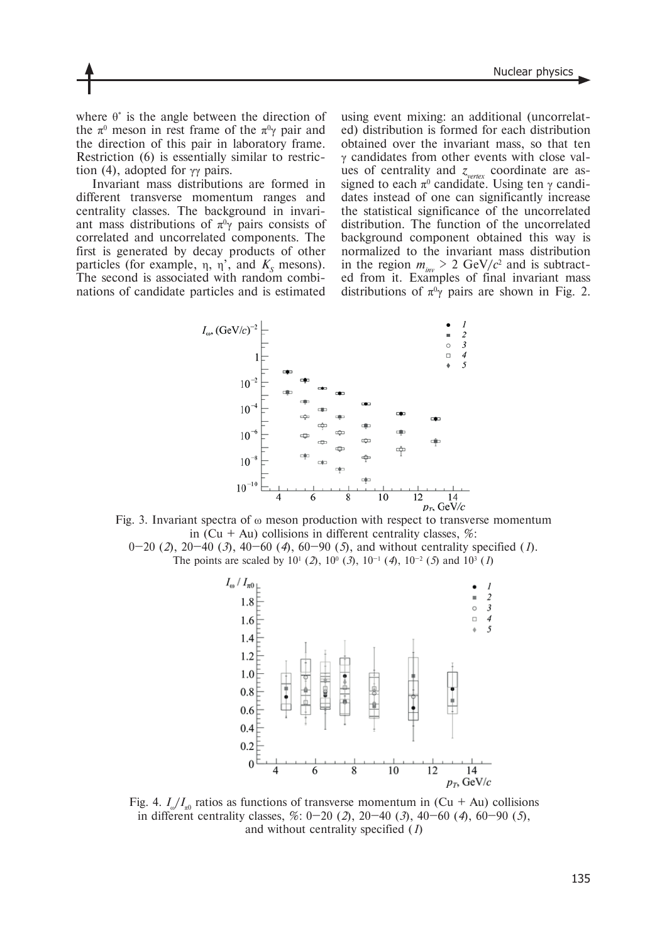where  $\theta^*$  is the angle between the direction of the  $\pi^0$  meson in rest frame of the  $\pi^0\gamma$  pair and the direction of this pair in laboratory frame. Restriction (6) is essentially similar to restriction (4), adopted for  $\gamma\gamma$  pairs.

Invariant mass distributions are formed in different transverse momentum ranges and centrality classes. The background in invariant mass distributions of  $\pi^0\gamma$  pairs consists of correlated and uncorrelated components. The first is generated by decay products of other particles (for example,  $\eta$ ,  $\eta'$ , and  $K_s$  mesons). The second is associated with random combinations of candidate particles and is estimated

using event mixing: an additional (uncorrelated) distribution is formed for each distribution obtained over the invariant mass, so that ten γ candidates from other events with close values of centrality and  $z_{\text{vertex}}$  coordinate are assigned to each  $\pi^0$  candidate. Using ten  $\gamma$  candidates instead of one can significantly increase the statistical significance of the uncorrelated distribution. The function of the uncorrelated background component obtained this way is normalized to the invariant mass distribution in the region  $m_{inv} > 2$  GeV/ $c^2$  and is subtracted from it. Examples of final invariant mass distributions of  $\pi^0\gamma$  pairs are shown in Fig. 2.



Fig. 3. Invariant spectra of ω meson production with respect to transverse momentum in (Cu + Au) collisions in different centrality classes,  $\%$ :

0–20 (*2*), 20–40 (*3*), 40–60 (*4*), 60–90 (*5*), and without centrality specified (*1*). The points are scaled by  $10^1$  (2),  $10^0$  (3),  $10^{-1}$  (4),  $10^{-2}$  (5) and  $10^3$  (1)



Fig. 4.  $I_{\omega}/I_{\pi0}$  ratios as functions of transverse momentum in (Cu + Au) collisions in different centrality classes, %: 0–20 (*2*), 20–40 (*3*), 40–60 (*4*), 60–90 (*5*), and without centrality specified (*1*)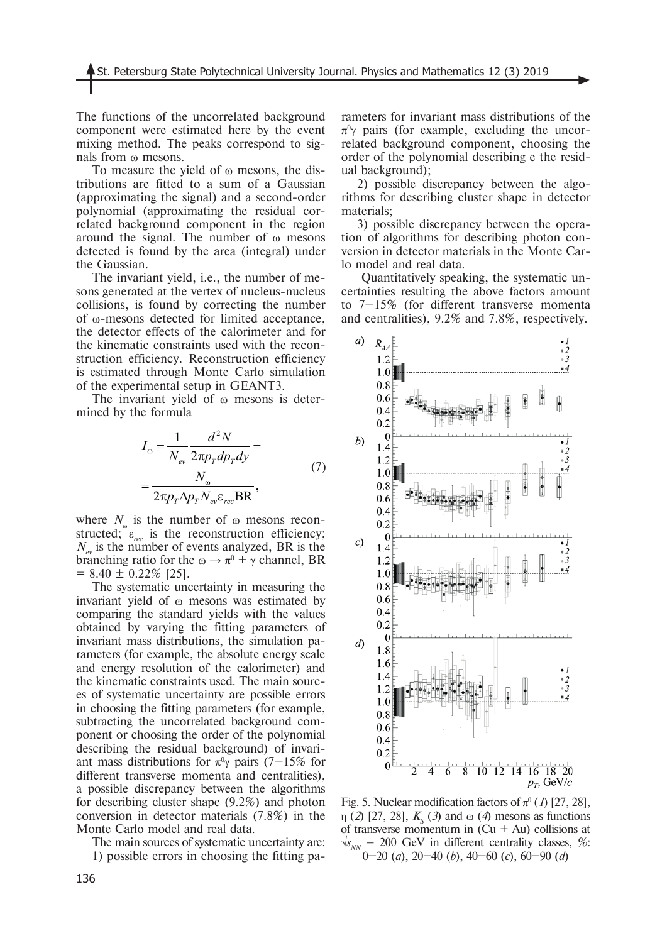The functions of the uncorrelated background component were estimated here by the event mixing method. The peaks correspond to signals from ω mesons.

To measure the yield of ω mesons, the distributions are fitted to a sum of a Gaussian (approximating the signal) and a second-order polynomial (approximating the residual correlated background component in the region around the signal. The number of ω mesons detected is found by the area (integral) under the Gaussian.

The invariant yield, i.e., the number of mesons generated at the vertex of nucleus-nucleus collisions, is found by correcting the number of ω-mesons detected for limited acceptance, the detector effects of the calorimeter and for the kinematic constraints used with the reconstruction efficiency. Reconstruction efficiency is estimated through Monte Carlo simulation of the experimental setup in GEANT3.

The invariant yield of ω mesons is determined by the formula

$$
I_{\omega} = \frac{1}{N_{ev}} \frac{d^2 N}{2\pi p_{T} dp_{T} dy} =
$$
  
= 
$$
\frac{N_{\omega}}{2\pi p_{T} \Delta p_{T} N_{ev} \varepsilon_{rec} BR},
$$
 (7)

where  $N_{\omega}$  is the number of  $\omega$  mesons reconstructed;  $\varepsilon_{rec}$  is the reconstruction efficiency;  $N_{\text{av}}$  is the number of events analyzed, BR is the branching ratio for the  $\omega \rightarrow \pi^0 + \gamma$  channel, BR  $= 8.40 \pm 0.22\%$  [25].

The systematic uncertainty in measuring the invariant yield of ω mesons was estimated by comparing the standard yields with the values obtained by varying the fitting parameters of invariant mass distributions, the simulation parameters (for example, the absolute energy scale and energy resolution of the calorimeter) and the kinematic constraints used. The main sources of systematic uncertainty are possible errors in choosing the fitting parameters (for example, subtracting the uncorrelated background component or choosing the order of the polynomial describing the residual background) of invariant mass distributions for  $\pi^0\gamma$  pairs (7–15% for different transverse momenta and centralities), a possible discrepancy between the algorithms for describing cluster shape (9.2%) and photon conversion in detector materials (7.8%) in the Monte Carlo model and real data.

The main sources of systematic uncertainty are:

1) possible errors in choosing the fitting pa-

rameters for invariant mass distributions of the  $\pi^0$  pairs (for example, excluding the uncorrelated background component, choosing the order of the polynomial describing e the residual background);

2) possible discrepancy between the algorithms for describing cluster shape in detector materials;

3) possible discrepancy between the operation of algorithms for describing photon conversion in detector materials in the Monte Carlo model and real data.

 Quantitatively speaking, the systematic uncertainties resulting the above factors amount to 7–15% (for different transverse momenta and centralities), 9.2% and 7.8%, respectively.



Fig. 5. Nuclear modification factors of  $\pi^0$  (1) [27, 28],  $\eta$  (2) [27, 28],  $K_s$  (3) and  $\omega$  (4) mesons as functions of transverse momentum in  $(Cu + Au)$  collisions at  $\sqrt{s_{NN}}$  = 200 GeV in different centrality classes, %: 0–20 (*a*), 20–40 (*b*), 40–60 (*c*), 60–90 (*d*)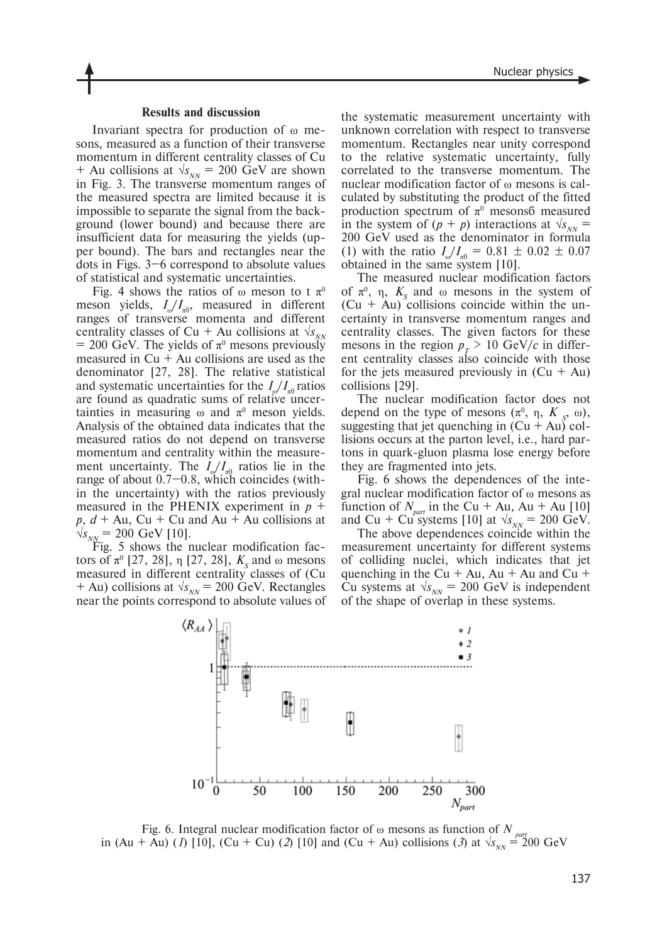#### **Results and discussion**

Invariant spectra for production of ω mesons, measured as a function of their transverse momentum in different centrality classes of Cu + Au collisions at  $\sqrt{s_{NN}}$  = 200 GeV are shown in Fig. 3. The transverse momentum ranges of the measured spectra are limited because it is impossible to separate the signal from the background (lower bound) and because there are insufficient data for measuring the yields (upper bound). The bars and rectangles near the dots in Figs. 3–6 correspond to absolute values of statistical and systematic uncertainties.

Fig. 4 shows the ratios of  $\omega$  meson to t  $\pi^0$ meson yields,  $I_{\omega}/I_{\pi0}$ , measured in different ranges of transverse momenta and different centrality classes of Cu + Au collisions at  $\sqrt{s_{NN}}$  $= 200$  GeV. The yields of  $\pi^0$  mesons previously measured in  $Cu + Au$  collisions are used as the denominator [27, 28]. The relative statistical and systematic uncertainties for the  $I_{\alpha}/I_{\alpha}$  ratios are found as quadratic sums of relative uncertainties in measuring  $\omega$  and  $\pi^0$  meson yields. Analysis of the obtained data indicates that the measured ratios do not depend on transverse momentum and centrality within the measurement uncertainty. The  $I_{\omega}/I_{\pi0}$  ratios lie in the range of about 0.7–0.8, which coincides (within the uncertainty) with the ratios previously measured in the PHENIX experiment in  $p +$  $p, d + Au, Cu + Cu$  and  $Au + Au$  collisions at  $\sqrt{s_{NN}}$  = 200 GeV [10].

Fig. 5 shows the nuclear modification factors of  $\pi^0$  [27, 28], η [27, 28],  $K_s$  and ω mesons measured in different centrality classes of (Cu + Au) collisions at  $\sqrt{s_{NN}}$  = 200 GeV. Rectangles near the points correspond to absolute values of

the systematic measurement uncertainty with unknown correlation with respect to transverse momentum. Rectangles near unity correspond to the relative systematic uncertainty, fully correlated to the transverse momentum. The nuclear modification factor of ω mesons is calculated by substituting the product of the fitted production spectrum of  $\pi^0$  mesons measured in the system of  $(p + p)$  interactions at  $\sqrt{s_{NN}}$  = 200 GeV used as the denominator in formula (1) with the ratio  $I_{\omega}/I_{\pi0} = 0.81 \pm 0.02 \pm 0.07$ obtained in the same system [10].

The measured nuclear modification factors of  $\pi^0$ , η,  $K_s$  and ω mesons in the system of  $(Cu + Au)$  collisions coincide within the uncertainty in transverse momentum ranges and centrality classes. The given factors for these mesons in the region  $p_T > 10 \text{ GeV}/c$  in different centrality classes also coincide with those for the jets measured previously in  $(Cu + Au)$ collisions [29].

The nuclear modification factor does not depend on the type of mesons  $(\pi^0, \eta, K_s, \omega)$ , suggesting that jet quenching in  $(Cu + Au)$  collisions occurs at the parton level, i.e., hard partons in quark-gluon plasma lose energy before they are fragmented into jets.

Fig. 6 shows the dependences of the integral nuclear modification factor of ω mesons as function of  $N_{part}$  in the Cu + Au, Au + Au [10] and Cu + Cu systems [10] at  $\sqrt{s_{NN}}$  = 200 GeV.

The above dependences coincide within the measurement uncertainty for different systems of colliding nuclei, which indicates that jet quenching in the Cu  $+$  Au, Au  $+$  Au and Cu  $+$ Cu systems at  $\sqrt{s_{NN}}$  = 200 GeV is independent of the shape of overlap in these systems.



Fig. 6. Integral nuclear modification factor of  $\omega$  mesons as function of  $N_{part}$ in (Au + Au) (*I*) [10], (Cu + Cu) (*2*) [10] and (Cu + Au) collisions (*3*) at  $\sqrt{s_{NN}} = 200 \text{ GeV}$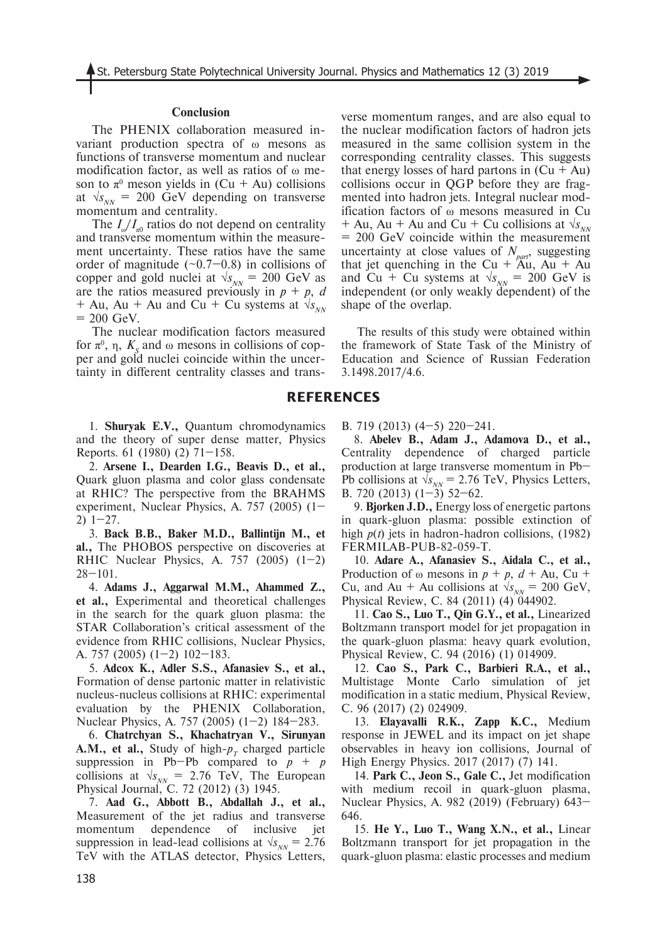### **Conclusion**

The PHENIX collaboration measured invariant production spectra of ω mesons as functions of transverse momentum and nuclear modification factor, as well as ratios of ω meson to  $\pi^0$  meson yields in (Cu + Au) collisions at  $\sqrt{s_{NN}}$  = 200 GeV depending on transverse momentum and centrality.

The  $I_{\omega}/I_{\pi0}$  ratios do not depend on centrality and transverse momentum within the measurement uncertainty. These ratios have the same order of magnitude  $(-0.7-0.8)$  in collisions of copper and gold nuclei at  $\sqrt{s_{NN}}$  = 200 GeV as are the ratios measured previously in  $p + p$ , *d* + Au, Au + Au and Cu + Cu systems at  $\sqrt{s_{NN}}$  $= 200$  GeV.

The nuclear modification factors measured for  $\pi^0$ ,  $\eta$ ,  $K_s$  and  $\omega$  mesons in collisions of copper and gold nuclei coincide within the uncertainty in different centrality classes and trans-

1. **Shuryak E.V.,** Quantum chromodynamics and the theory of super dense matter, Physics Reports. 61 (1980) (2) 71–158.

2. **Arsene I., Dearden I.G., Beavis D., et al.,** Quark gluon plasma and color glass condensate at RHIC? The perspective from the BRAHMS experiment, Nuclear Physics, A. 757 (2005) (1– 2) 1–27.

3. **Back B.B., Baker M.D., Ballintijn M., et al.,** The PHOBOS perspective on discoveries at RHIC Nuclear Physics, A.  $757$  (2005) (1-2) 28–101.

4. **Adams J., Aggarwal M.M., Ahammed Z., et al.,** Experimental and theoretical challenges in the search for the quark gluon plasma: the STAR Collaboration's critical assessment of the evidence from RHIC collisions, Nuclear Physics, A. 757 (2005) (1–2) 102–183.

5. **Adcox K., Adler S.S., Afanasiev S., et al.,** Formation of dense partonic matter in relativistic nucleus-nucleus collisions at RHIC: experimental evaluation by the PHENIX Collaboration, Nuclear Physics, A. 757 (2005) (1–2) 184–283.

6. **Chatrchyan S., Khachatryan V., Sirunyan A.M., et al.,** Study of high- $p<sub>T</sub>$  charged particle suppression in Pb–Pb compared to  $p + p$ collisions at  $\sqrt{s_{NN}}$  = 2.76 TeV, The European Physical Journal, C. 72 (2012) (3) 1945.

7. **Aad G., Abbott B., Abdallah J., et al.,** Measurement of the jet radius and transverse momentum dependence of inclusive jet suppression in lead-lead collisions at  $\sqrt{s_{NN}}$  = 2.76 TeV with the ATLAS detector, Physics Letters,

verse momentum ranges, and are also equal to the nuclear modification factors of hadron jets measured in the same collision system in the corresponding centrality classes. This suggests that energy losses of hard partons in  $(Cu + Au)$ collisions occur in QGP before they are fragmented into hadron jets. Integral nuclear modification factors of ω mesons measured in Cu + Au, Au + Au and Cu + Cu collisions at  $\sqrt{s_{NN}}$ = 200 GeV coincide within the measurement uncertainty at close values of  $N_{part}$ , suggesting that jet quenching in the Cu +  $\hat{A}u$ , Au + Au and Cu + Cu systems at  $\sqrt{s_{NN}}$  = 200 GeV is independent (or only weakly dependent) of the shape of the overlap.

The results of this study were obtained within the framework of State Task of the Ministry of Education and Science of Russian Federation 3.1498.2017/4.6.

## **REFERENCES**

B. 719 (2013) (4–5) 220–241.

8. **Abelev B., Adam J., Adamova D., et al.,** Centrality dependence of charged particle production at large transverse momentum in Pb– Pb collisions at  $\sqrt{s_{NN}}$  = 2.76 TeV, Physics Letters, B. 720 (2013)  $(1-\overline{3})$  52-62.

9. **Bjorken J.D.,** Energy loss of energetic partons in quark-gluon plasma: possible extinction of high *p*(*t*) jets in hadron-hadron collisions, (1982) FERMILAB-PUB-82-059-T.

10. **Adare A., Afanasiev S., Aidala C., et al.,** Production of  $\omega$  mesons in  $p + p$ ,  $d + Au$ , Cu + Cu, and Au + Au collisions at  $\sqrt{s_{NN}}$  = 200 GeV, Physical Review, C. 84 (2011) (4) 044902.

11. **Cao S., Luo T., Qin G.Y., et al.,** Linearized Boltzmann transport model for jet propagation in the quark-gluon plasma: heavy quark evolution, Physical Review, C. 94 (2016) (1) 014909.

12. **Cao S., Park C., Barbieri R.A., et al.,** Multistage Monte Carlo simulation of jet modification in a static medium, Physical Review, C. 96 (2017) (2) 024909.

13. **Elayavalli R.K., Zapp K.C.,** Medium response in JEWEL and its impact on jet shape observables in heavy ion collisions, Journal of High Energy Physics. 2017 (2017) (7) 141.

14. **Park C., Jeon S., Gale C.,** Jet modification with medium recoil in quark-gluon plasma, Nuclear Physics, A. 982 (2019) (February) 643– 646.

15. **He Y., Luo T., Wang X.N., et al.,** Linear Boltzmann transport for jet propagation in the quark-gluon plasma: elastic processes and medium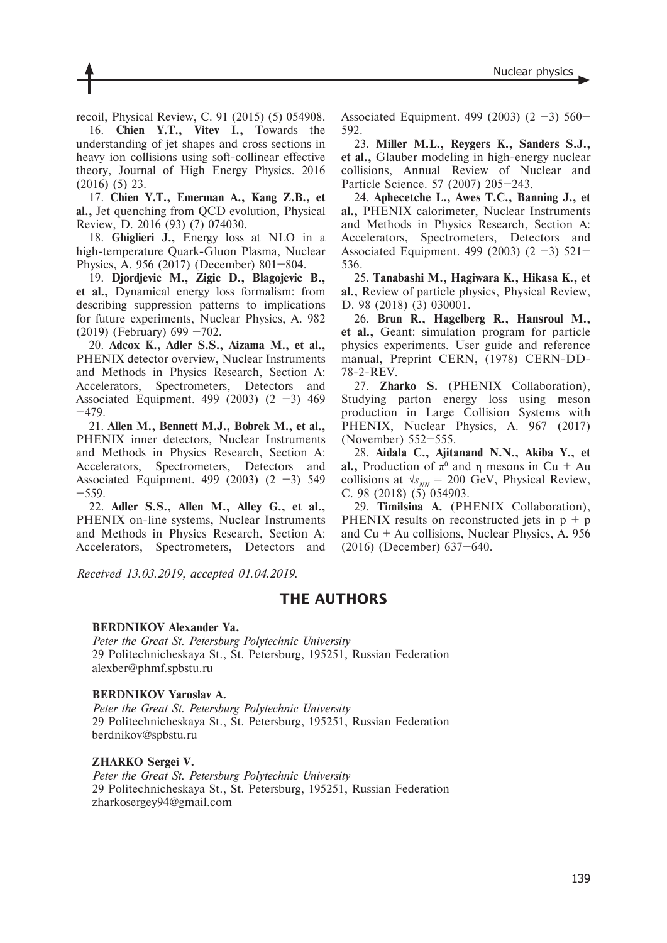recoil, Physical Review, C. 91 (2015) (5) 054908.

16. **Chien Y.T., Vitev I.,** Towards the understanding of jet shapes and cross sections in heavy ion collisions using soft-collinear effective theory, Journal of High Energy Physics. 2016 (2016) (5) 23.

17. **Chien Y.T., Emerman A., Kang Z.B., et al.,** Jet quenching from QCD evolution, Physical Review, D. 2016 (93) (7) 074030.

18. **Ghiglieri J.,** Energy loss at NLO in a high-temperature Quark-Gluon Plasma, Nuclear Physics, A. 956 (2017) (December) 801–804.

19. **Djordjevic M., Zigic D., Blagojevic B., et al.,** Dynamical energy loss formalism: from describing suppression patterns to implications for future experiments, Nuclear Physics, A. 982 (2019) (February) 699 –702.

20. **Adcox K., Adler S.S., Aizama M., et al.,** PHENIX detector overview, Nuclear Instruments and Methods in Physics Research, Section A: Accelerators, Spectrometers, Detectors and Associated Equipment. 499 (2003) (2 –3) 469 –479.

21. **Allen M., Bennett M.J., Bobrek M., et al.,** PHENIX inner detectors, Nuclear Instruments and Methods in Physics Research, Section A: Accelerators, Spectrometers, Detectors and Associated Equipment. 499 (2003) (2 –3) 549 –559.

22. **Adler S.S., Allen M., Alley G., et al.,** PHENIX on-line systems, Nuclear Instruments and Methods in Physics Research, Section A: Accelerators, Spectrometers, Detectors and Associated Equipment. 499 (2003) (2 –3) 560– 592.

23. **Miller M.L., Reygers K., Sanders S.J., et al.,** Glauber modeling in high-energy nuclear collisions, Annual Review of Nuclear and Particle Science. 57 (2007) 205–243.

24. **Aphecetche L., Awes T.C., Banning J., et al.,** PHENIX calorimeter, Nuclear Instruments and Methods in Physics Research, Section A: Accelerators, Spectrometers, Detectors and Associated Equipment. 499 (2003) (2 –3) 521– 536.

25. **Tanabashi M., Hagiwara K., Hikasa K., et al.,** Review of particle physics, Physical Review, D. 98 (2018) (3) 030001.

26. **Brun R., Hagelberg R., Hansroul M., et al.,** Geant: simulation program for particle physics experiments. User guide and reference manual, Preprint CERN, (1978) CERN-DD-78-2-REV.

27. **Zharko S.** (PHENIX Collaboration), Studying parton energy loss using meson production in Large Collision Systems with PHENIX, Nuclear Physics, A. 967 (2017) (November) 552–555.

28. **Aidala C., Ajitanand N.N., Akiba Y., et al.,** Production of  $\pi^0$  and  $\eta$  mesons in Cu + Au collisions at  $\sqrt{s_{NN}}$  = 200 GeV, Physical Review, C. 98 (2018) (5) 054903.

29. **Timilsina A.** (PHENIX Collaboration), PHENIX results on reconstructed jets in  $p + p$ and  $Cu + Au$  collisions, Nuclear Physics, A. 956 (2016) (December) 637–640.

*Received 13.03.2019, аccepted 01.04.2019.*

## **THE AUTHORS**

#### **BERDNIKOV Alexander Ya.**

*Peter the Great St. Petersburg Polytechnic University* 29 Politechnicheskaya St., St. Petersburg, 195251, Russian Federation alexber@phmf.spbstu.ru

### **BERDNIKOV Yaroslav A.**

*Peter the Great St. Petersburg Polytechnic University* 29 Politechnicheskaya St., St. Petersburg, 195251, Russian Federation berdnikov@spbstu.ru

#### **ZHARKO Sergei V.**

*Peter the Great St. Petersburg Polytechnic University* 29 Politechnicheskaya St., St. Petersburg, 195251, Russian Federation zharkosergey94@gmail.com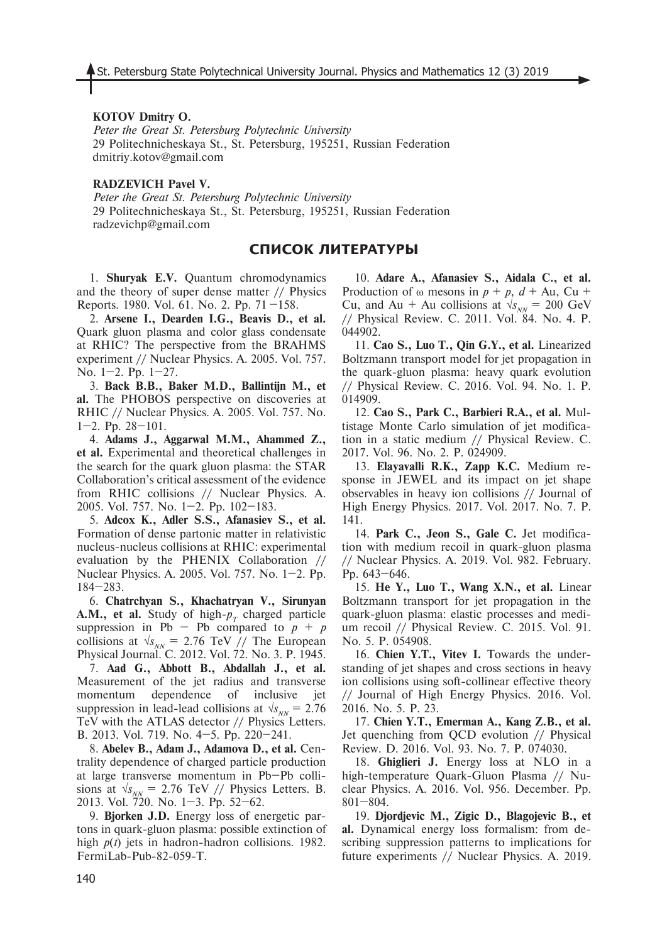### **KOTOV Dmitry O.**

*Peter the Great St. Petersburg Polytechnic University* 29 Politechnicheskaya St., St. Petersburg, 195251, Russian Federation dmitriy.kotov@gmail.com

#### **RADZEVICH Pavel V.**

*Peter the Great St. Petersburg Polytechnic University* 29 Politechnicheskaya St., St. Petersburg, 195251, Russian Federation radzevichp@gmail.com

### **СПИСОК ЛИТЕРАТУРЫ**

1. **Shuryak E.V.** Quantum chromodynamics and the theory of super dense matter // Physics Reports. 1980. Vol. 61. No. 2. Pp. 71 –158.

2. **Arsene I., Dearden I.G., Beavis D., et al.** Quark gluon plasma and color glass condensate at RHIC? The perspective from the BRAHMS experiment // Nuclear Physics. A. 2005. Vol. 757. No. 1–2. Pp. 1–27.

3. **Back B.B., Baker M.D., Ballintijn M., et al.** The PHOBOS perspective on discoveries at RHIC // Nuclear Physics. A. 2005. Vol. 757. No.  $1-2.$  Pp.  $28-101.$ 

4. **Adams J., Aggarwal M.M., Ahammed Z., et al.** Experimental and theoretical challenges in the search for the quark gluon plasma: the STAR Collaboration's critical assessment of the evidence from RHIC collisions // Nuclear Physics. A. 2005. Vol. 757. No. 1–2. Pp. 102–183.

5. **Adcox K., Adler S.S., Afanasiev S., et al.** Formation of dense partonic matter in relativistic nucleus-nucleus collisions at RHIC: experimental evaluation by the PHENIX Collaboration // Nuclear Physics. A. 2005. Vol. 757. No. 1–2. Pp. 184–283.

6. **Chatrchyan S., Khachatryan V., Sirunyan A.M., et al.** Study of high- $p<sub>T</sub>$  charged particle suppression in Pb – Pb compared to  $p + p$ collisions at  $\sqrt{s_{NN}}$  = 2.76 TeV // The European Physical Journal. C. 2012. Vol. 72. No. 3. P. 1945.

7. **Aad G., Abbott B., Abdallah J., et al.** Measurement of the jet radius and transverse momentum dependence of inclusive jet suppression in lead-lead collisions at  $\sqrt{s_{NN}}$  = 2.76 TeV with the ATLAS detector // Physics Letters. B. 2013. Vol. 719. No. 4–5. Pp. 220–241.

8. **Abelev B., Adam J., Adamova D., et al.** Centrality dependence of charged particle production at large transverse momentum in Pb–Pb collisions at  $\sqrt{s_{NN}}$  = 2.76 TeV // Physics Letters. B. 2013. Vol. 720. No. 1–3. Pp. 52–62.

9. **Bjorken J.D.** Energy loss of energetic partons in quark-gluon plasma: possible extinction of high *p*(*t*) jets in hadron-hadron collisions. 1982. FermiLab-Pub-82-059-T.

10. **Adare A., Afanasiev S., Aidala C., et al.** Production of  $\omega$  mesons in  $p + p$ ,  $d + Au$ , Cu + Cu, and Au + Au collisions at  $\sqrt{s_{NN}}$  = 200 GeV // Physical Review. C. 2011. Vol. 84. No. 4. P. 044902.

11. **Cao S., Luo T., Qin G.Y., et al.** Linearized Boltzmann transport model for jet propagation in the quark-gluon plasma: heavy quark evolution // Physical Review. C. 2016. Vol. 94. No. 1. P. 014909.

12. **Cao S., Park C., Barbieri R.A., et al.** Multistage Monte Carlo simulation of jet modification in a static medium // Physical Review. C. 2017. Vol. 96. No. 2. P. 024909.

13. **Elayavalli R.K., Zapp K.C.** Medium response in JEWEL and its impact on jet shape observables in heavy ion collisions // Journal of High Energy Physics. 2017. Vol. 2017. No. 7. P. 141.

14. **Park C., Jeon S., Gale C.** Jet modification with medium recoil in quark-gluon plasma // Nuclear Physics. A. 2019. Vol. 982. February. Pp. 643–646.

15. **He Y., Luo T., Wang X.N., et al.** Linear Boltzmann transport for jet propagation in the quark-gluon plasma: elastic processes and medium recoil // Physical Review. C. 2015. Vol. 91. No. 5. P. 054908.

16. **Chien Y.T., Vitev I.** Towards the understanding of jet shapes and cross sections in heavy ion collisions using soft-collinear effective theory // Journal of High Energy Physics. 2016. Vol. 2016. No. 5. P. 23.

17. **Chien Y.T., Emerman A., Kang Z.B., et al.** Jet quenching from QCD evolution // Physical Review. D. 2016. Vol. 93. No. 7. P. 074030.

18. **Ghiglieri J.** Energy loss at NLO in a high-temperature Quark-Gluon Plasma // Nuclear Physics. A. 2016. Vol. 956. December. Pp. 801–804.

19. **Djordjevic M., Zigic D., Blagojevic B., et al.** Dynamical energy loss formalism: from describing suppression patterns to implications for future experiments // Nuclear Physics. A. 2019.